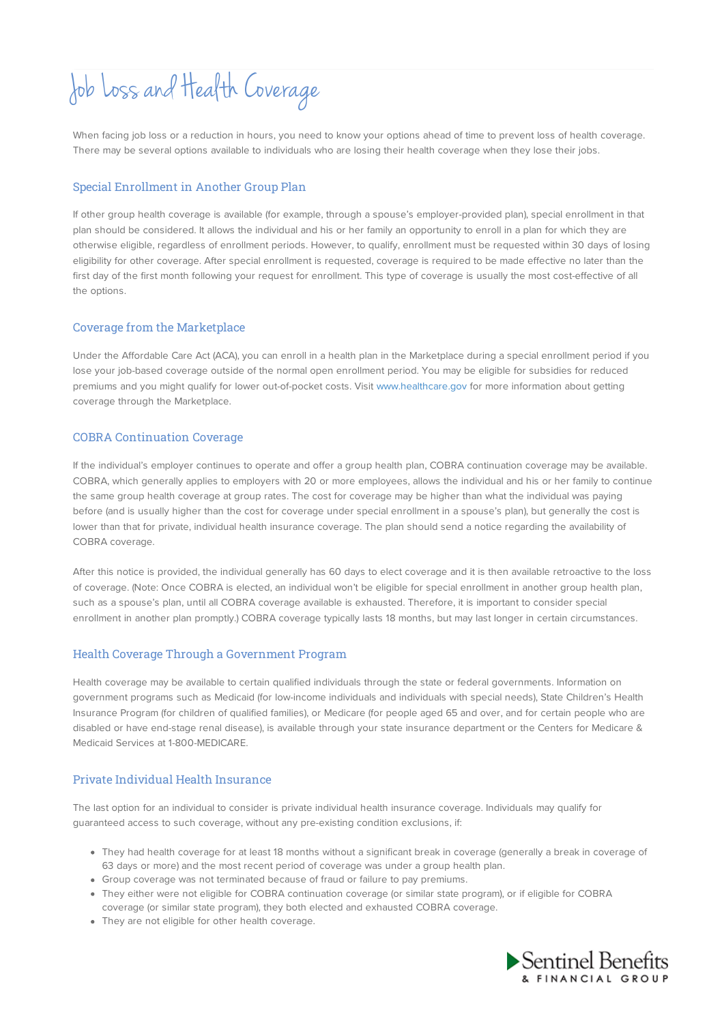# Job Loss and HealthCoverage

When facing job loss or a reduction in hours, you need to know your options ahead of time to prevent loss of health coverage. There may be several options available to individuals who are losing their health coverage when they lose their jobs.

## Special Enrollment in Another Group Plan

If other group health coverage is available (for example, through a spouse's employer-provided plan), special enrollment in that plan should be considered. It allows the individual and his or her family an opportunity to enroll in a plan for which they are otherwise eligible, regardless of enrollment periods. However, to qualify, enrollment must be requested within 30 days of losing eligibility for other coverage. After special enrollment is requested, coverage is required to be made effective no later than the first day of the first month following your request for enrollment. This type of coverage is usually the most cost-effective of all the options.

#### Coverage from the Marketplace

Under the Affordable Care Act (ACA), you can enroll in a health plan in the Marketplace during a special enrollment period if you lose your job-based coverage outside of the normal open enrollment period. You may be eligible for subsidies for reduced premiums and you might qualify for lower out-of-pocket costs. Visit www.healthcare.gov for more information about getting coverage through the Marketplace.

## COBRA Continuation Coverage

If the individual's employer continues to operate and offer a group health plan, COBRA continuation coverage may be available. COBRA, which generally applies to employers with 20 or more employees, allows the individual and his or her family to continue the same group health coverage at group rates. The cost for coverage may be higher than what the individual was paying before (and is usually higher than the cost for coverage under special enrollment in a spouse's plan), but generally the cost is lower than that for private, individual health insurance coverage. The plan should send a notice regarding the availability of COBRA coverage.

After this notice is provided, the individual generally has 60 days to elect coverage and it is then available retroactive to the loss of coverage. (Note: Once COBRA is elected, an individual won't be eligible for special enrollment in another group health plan, such as a spouse's plan, until all COBRA coverage available is exhausted. Therefore, it is important to consider special enrollment in another plan promptly.) COBRA coverage typically lasts 18 months, but may last longer in certain circumstances.

#### Health Coverage Through a Government Program

Health coverage may be available to certain qualified individuals through the state or federal governments. Information on government programs such as Medicaid (for low-income individuals and individuals with special needs), State Children's Health Insurance Program (for children of qualified families), or Medicare (for people aged 65 and over, and for certain people who are disabled or have end-stage renal disease), is available through your state insurance department or the Centers for Medicare & Medicaid Services at 1-800-MEDICARE.

### Private Individual Health Insurance

The last option for an individual to consider is private individual health insurance coverage. Individuals may qualify for guaranteed access to such coverage, without any pre-existing condition exclusions, if:

- They had health coverage for at least 18 months without a significant break in coverage (generally a break in coverage of 63 days or more) and the most recent period of coverage was under a group health plan.
- Group coverage was not terminated because of fraud or failure to pay premiums.
- They either were not eligible for COBRA continuation coverage (or similar state program), or if eligible for COBRA coverage (or similar state program), they both elected and exhausted COBRA coverage.
- They are not eligible for other health coverage.